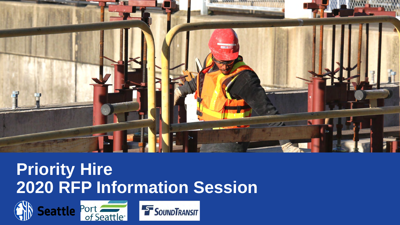

### **Priority Hire 2020 RFP Information Session**

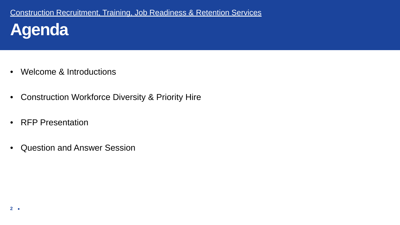- Welcome & Introductions
- Construction Workforce Diversity & Priority Hire
- RFP Presentation
- Question and Answer Session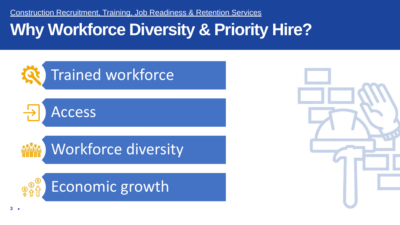# **Why Workforce Diversity & Priority Hire?**



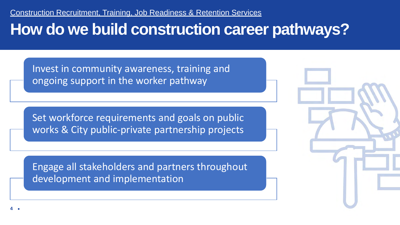### **How do we build construction career pathways?**

Invest in community awareness, training and ongoing support in the worker pathway

Set workforce requirements and goals on public works & City public-private partnership projects

Engage all stakeholders and partners throughout development and implementation

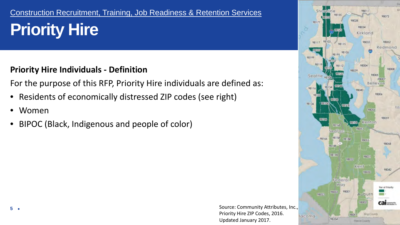# **Priority Hire**

#### **Priority Hire Individuals - Definition**

For the purpose of this RFP, Priority Hire individuals are defined as:

- Residents of economically distressed ZIP codes (see right)
- Women
- BIPOC (Black, Indigenous and people of color)



Updated January 2017.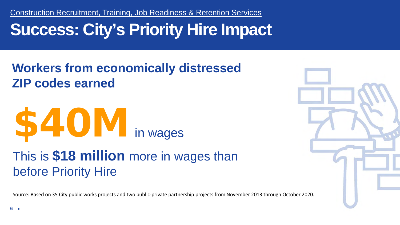# **Success: City's Priority Hire Impact**

### **Workers from economically distressed ZIP codes earned**



This is **\$18 million** more in wages than before Priority Hire

Source: Based on 35 City public works projects and two public-private partnership projects from November 2013 through October 2020.

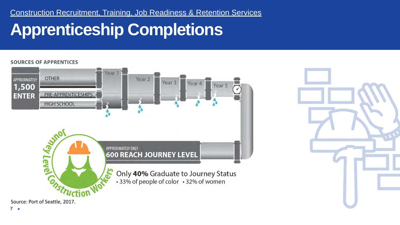# **Apprenticeship Completions**

#### **SOURCES OF APPRENTICES** Year 1 **OTHER** Year<sub>2</sub> APPROXIMATELY Year<sub>3</sub> Year<sub>4</sub> Year 5 1,500 **ENTER** PRE-APPRENTICESHIPS **HIGH SCHOOL ONTEVIDUS** APPROXIMATELY ONLY **600 REACH JOURNEY LEVEL** Only 40% Graduate to Journey Status • 33% of people of color • 32% of women nstruction

**7**

Source: Port of Seattle, 2017.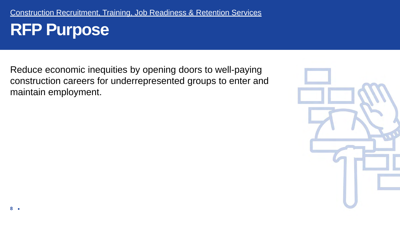Reduce economic inequities by opening doors to well-paying construction careers for underrepresented groups to enter and maintain employment.

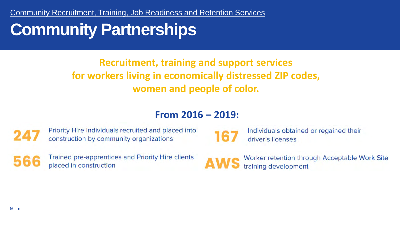Community Recruitment, Training, Job Readiness and Retention Services

### **Community Partnerships**

### **Recruitment, training and support services for workers living in economically distressed ZIP codes, women and people of color.**

#### **From 2016 – 2019:**



Priority Hire individuals recruited and placed into construction by community organizations



Trained pre-apprentices and Priority Hire clients placed in construction

Individuals obtained or regained their driver's licenses

Worker retention through Acceptable Work Site training development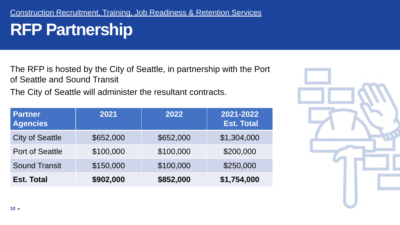# **RFP Partnership**

The RFP is hosted by the City of Seattle, in partnership with the Port of Seattle and Sound Transit

The City of Seattle will administer the resultant contracts.

| <b>Partner</b><br><b>Agencies</b> | 2021      | 2022      | 2021-2022<br><b>Est. Total</b> |
|-----------------------------------|-----------|-----------|--------------------------------|
| <b>City of Seattle</b>            | \$652,000 | \$652,000 | \$1,304,000                    |
| <b>Port of Seattle</b>            | \$100,000 | \$100,000 | \$200,000                      |
| <b>Sound Transit</b>              | \$150,000 | \$100,000 | \$250,000                      |
| <b>Est. Total</b>                 | \$902,000 | \$852,000 | \$1,754,000                    |

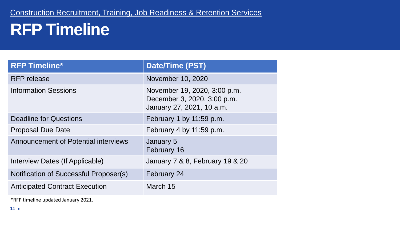# **RFP Timeline**

| <b>RFP Timeline*</b>                        | <b>Date/Time (PST)</b>                                                                   |  |
|---------------------------------------------|------------------------------------------------------------------------------------------|--|
| <b>RFP</b> release                          | November 10, 2020                                                                        |  |
| <b>Information Sessions</b>                 | November 19, 2020, 3:00 p.m.<br>December 3, 2020, 3:00 p.m.<br>January 27, 2021, 10 a.m. |  |
| <b>Deadline for Questions</b>               | February 1 by 11:59 p.m.                                                                 |  |
| <b>Proposal Due Date</b>                    | February 4 by 11:59 p.m.                                                                 |  |
| <b>Announcement of Potential interviews</b> | January 5<br>February 16                                                                 |  |
| Interview Dates (If Applicable)             | January 7 & 8, February 19 & 20                                                          |  |
| Notification of Successful Proposer(s)      | February 24                                                                              |  |
| <b>Anticipated Contract Execution</b>       | March 15                                                                                 |  |

\*RFP timeline updated January 2021.

**11**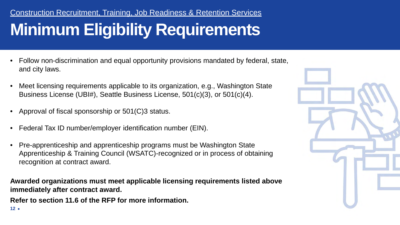### **Minimum Eligibility Requirements** Construction Recruitment, Training, Job Readiness & Retention Services

- Follow non-discrimination and equal opportunity provisions mandated by federal, state, and city laws.
- Meet licensing requirements applicable to its organization, e.g., Washington State Business License (UBI#), Seattle Business License, 501(c)(3), or 501(c)(4).
- Approval of fiscal sponsorship or 501(C)3 status.
- Federal Tax ID number/employer identification number (EIN).
- Pre-apprenticeship and apprenticeship programs must be Washington State Apprenticeship & Training Council (WSATC)-recognized or in process of obtaining recognition at contract award.

**Awarded organizations must meet applicable licensing requirements listed above immediately after contract award.**

**Refer to section 11.6 of the RFP for more information.** 

**12**

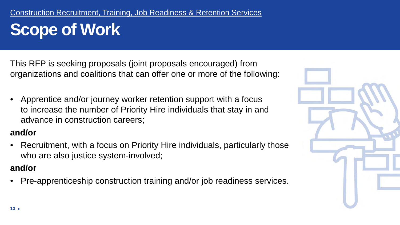This RFP is seeking proposals (joint proposals encouraged) from organizations and coalitions that can offer one or more of the following:

• Apprentice and/or journey worker retention support with a focus to increase the number of Priority Hire individuals that stay in and advance in construction careers;

#### **and/or**

• Recruitment, with a focus on Priority Hire individuals, particularly those who are also justice system-involved;

#### **and/or**

• Pre-apprenticeship construction training and/or job readiness services.

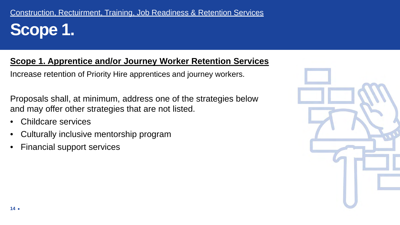#### **Scope 1. Apprentice and/or Journey Worker Retention Services**

Increase retention of Priority Hire apprentices and journey workers.

Proposals shall, at minimum, address one of the strategies below and may offer other strategies that are not listed.

- Childcare services
- Culturally inclusive mentorship program
- Financial support services

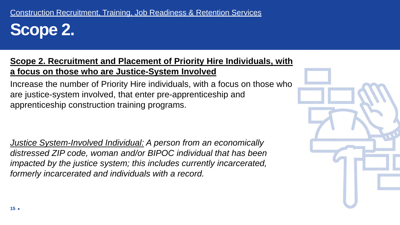**Scope 2.**

#### **Scope 2. Recruitment and Placement of Priority Hire Individuals, with a focus on those who are Justice-System Involved**

Increase the number of Priority Hire individuals, with a focus on those who are justice-system involved, that enter pre-apprenticeship and apprenticeship construction training programs.

*Justice System-Involved Individual: A person from an economically distressed ZIP code, woman and/or BIPOC individual that has been impacted by the justice system; this includes currently incarcerated, formerly incarcerated and individuals with a record.* 

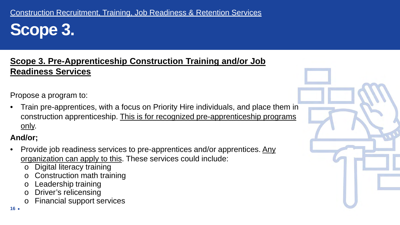**Scope 3.**

#### **Scope 3. Pre-Apprenticeship Construction Training and/or Job Readiness Services**

Propose a program to:

• Train pre-apprentices, with a focus on Priority Hire individuals, and place them in construction apprenticeship. This is for recognized pre-apprenticeship programs only.

#### **And/or;**

- Provide job readiness services to pre-apprentices and/or apprentices. Any organization can apply to this. These services could include:
	- o Digital literacy training
	- o Construction math training
	- o Leadership training
	- o Driver's relicensing
	- o Financial support services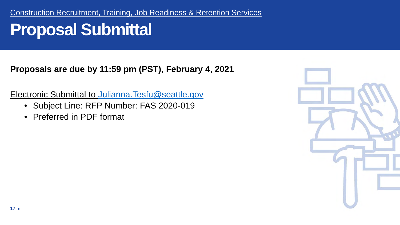# **Proposal Submittal**

**Proposals are due by 11:59 pm (PST), February 4, 2021**

Electronic Submittal to [Julianna.Tesfu@seattle.gov](mailto:Julianna.Tesfu@seattle.gov)

- Subject Line: RFP Number: FAS 2020-019
- Preferred in PDF format

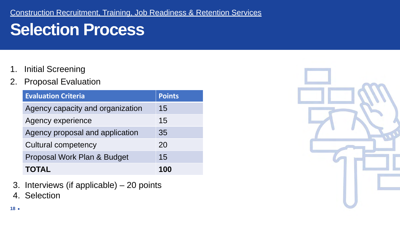# **Selection Process**

- 1. Initial Screening
- 2. Proposal Evaluation

| <b>Evaluation Criteria</b>       | <b>Points</b> |
|----------------------------------|---------------|
| Agency capacity and organization | 15            |
| <b>Agency experience</b>         | 15            |
| Agency proposal and application  | 35            |
| <b>Cultural competency</b>       | 20            |
| Proposal Work Plan & Budget      | 15            |
| <b>TOTAL</b>                     | 100           |

- 3. Interviews (if applicable) 20 points
- 4. Selection

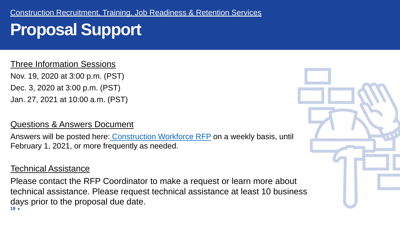# **Proposal Support**

Three Information Sessions

Nov. 19, 2020 at 3:00 p.m. (PST) Dec. 3, 2020 at 3:00 p.m. (PST) Jan. 27, 2021 at 10:00 a.m. (PST)

#### Questions & Answers Document

Answers will be posted here: Construction Workforce RFP on a weekly basis, until February 1, 2021, or more frequently as needed.

#### Technical Assistance

**19** Please contact the RFP Coordinator to make a request or learn more about technical assistance. Please request technical assistance at least 10 business days prior to the proposal due date.

![](_page_18_Picture_8.jpeg)